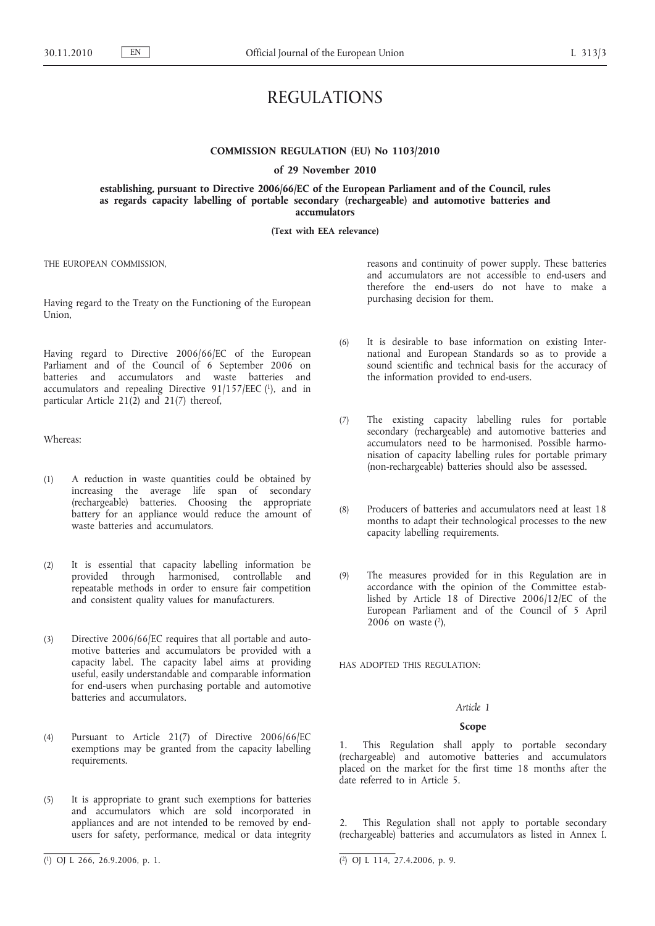# REGULATIONS

# **COMMISSION REGULATION (EU) No 1103/2010**

#### **of 29 November 2010**

**establishing, pursuant to Directive 2006/66/EC of the European Parliament and of the Council, rules as regards capacity labelling of portable secondary (rechargeable) and automotive batteries and accumulators**

## **(Text with EEA relevance)**

THE EUROPEAN COMMISSION,

Having regard to the Treaty on the Functioning of the European Union,

Having regard to Directive 2006/66/EC of the European Parliament and of the Council of 6 September 2006 on batteries and accumulators and waste batteries and accumulators and repealing Directive  $91/157/EEC$  (1), and in particular Article  $21(2)$  and  $21(7)$  thereof,

Whereas:

- (1) A reduction in waste quantities could be obtained by increasing the average life span of secondary (rechargeable) batteries. Choosing the appropriate battery for an appliance would reduce the amount of waste batteries and accumulators.
- (2) It is essential that capacity labelling information be provided through harmonised, controllable and repeatable methods in order to ensure fair competition and consistent quality values for manufacturers.
- (3) Directive 2006/66/EC requires that all portable and automotive batteries and accumulators be provided with a capacity label. The capacity label aims at providing useful, easily understandable and comparable information for end-users when purchasing portable and automotive batteries and accumulators.
- (4) Pursuant to Article 21(7) of Directive 2006/66/EC exemptions may be granted from the capacity labelling requirements.
- (5) It is appropriate to grant such exemptions for batteries and accumulators which are sold incorporated in appliances and are not intended to be removed by endusers for safety, performance, medical or data integrity

reasons and continuity of power supply. These batteries and accumulators are not accessible to end-users and therefore the end-users do not have to make a purchasing decision for them.

- (6) It is desirable to base information on existing International and European Standards so as to provide a sound scientific and technical basis for the accuracy of the information provided to end-users.
- (7) The existing capacity labelling rules for portable secondary (rechargeable) and automotive batteries and accumulators need to be harmonised. Possible harmonisation of capacity labelling rules for portable primary (non-rechargeable) batteries should also be assessed.
- (8) Producers of batteries and accumulators need at least 18 months to adapt their technological processes to the new capacity labelling requirements.
- (9) The measures provided for in this Regulation are in accordance with the opinion of the Committee established by Article 18 of Directive 2006/12/EC of the European Parliament and of the Council of 5 April  $2006$  on waste  $(2)$ ,

HAS ADOPTED THIS REGULATION:

# *Article 1*

# **Scope**

1. This Regulation shall apply to portable secondary (rechargeable) and automotive batteries and accumulators placed on the market for the first time 18 months after the date referred to in Article 5.

2. This Regulation shall not apply to portable secondary (rechargeable) batteries and accumulators as listed in Annex I.

<sup>(</sup> 1) OJ L 266, 26.9.2006, p. 1. (2) OJ L 114, 27.4.2006, p. 9.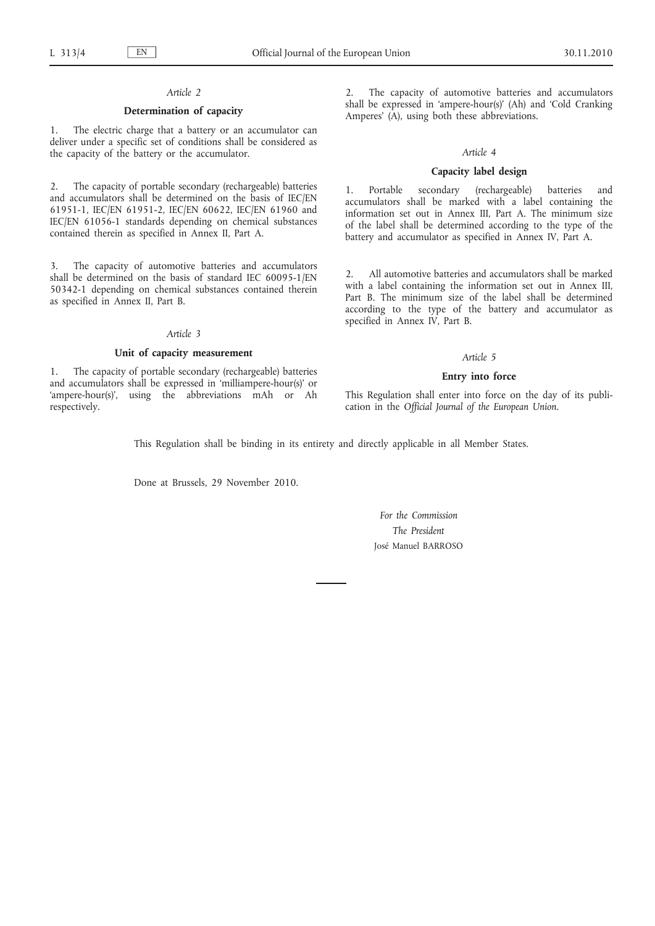# *Article 2*

# **Determination of capacity**

1. The electric charge that a battery or an accumulator can deliver under a specific set of conditions shall be considered as the capacity of the battery or the accumulator.

2. The capacity of portable secondary (rechargeable) batteries and accumulators shall be determined on the basis of IEC/EN 61951-1, IEC/EN 61951-2, IEC/EN 60622, IEC/EN 61960 and IEC/EN 61056-1 standards depending on chemical substances contained therein as specified in Annex II, Part A.

3. The capacity of automotive batteries and accumulators shall be determined on the basis of standard IEC 60095-1/EN 50342-1 depending on chemical substances contained therein as specified in Annex II, Part B.

# *Article 3*

## **Unit of capacity measurement**

1. The capacity of portable secondary (rechargeable) batteries and accumulators shall be expressed in 'milliampere-hour(s)' or 'ampere-hour(s)', using the abbreviations mAh or Ah respectively.

The capacity of automotive batteries and accumulators shall be expressed in 'ampere-hour(s)' (Ah) and 'Cold Cranking Amperes' (A), using both these abbreviations.

### *Article 4*

## **Capacity label design**

1. Portable secondary (rechargeable) batteries and accumulators shall be marked with a label containing the information set out in Annex III, Part A. The minimum size of the label shall be determined according to the type of the battery and accumulator as specified in Annex IV, Part A.

2. All automotive batteries and accumulators shall be marked with a label containing the information set out in Annex III, Part B. The minimum size of the label shall be determined according to the type of the battery and accumulator as specified in Annex IV, Part B.

# *Article 5*

## **Entry into force**

This Regulation shall enter into force on the day of its publication in the *Official Journal of the European Union*.

This Regulation shall be binding in its entirety and directly applicable in all Member States.

Done at Brussels, 29 November 2010.

*For the Commission The President* José Manuel BARROSO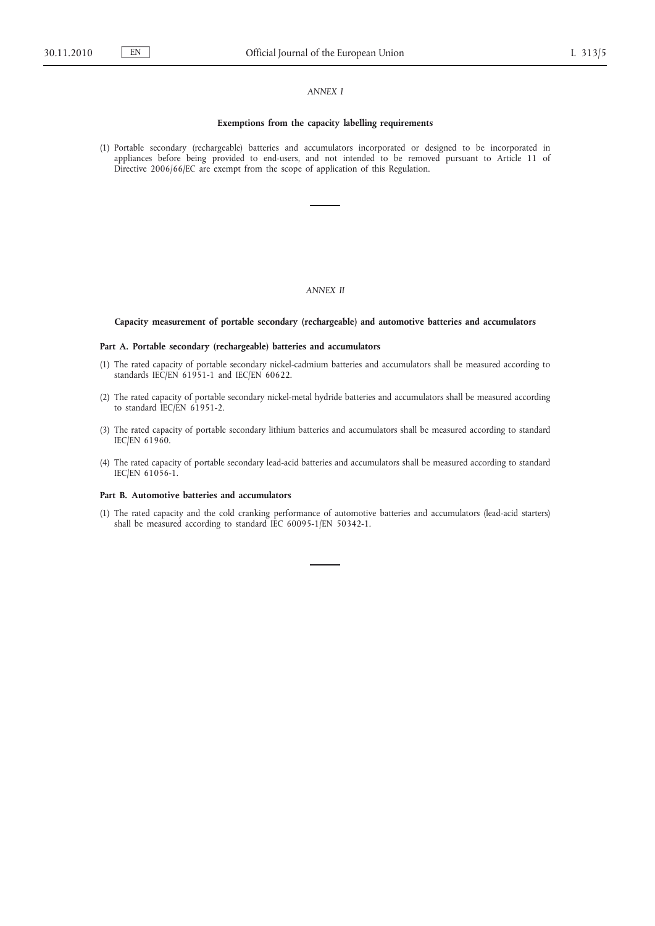# *ANNEX I*

#### **Exemptions from the capacity labelling requirements**

(1) Portable secondary (rechargeable) batteries and accumulators incorporated or designed to be incorporated in appliances before being provided to end-users, and not intended to be removed pursuant to Article 11 of Directive 2006/66/EC are exempt from the scope of application of this Regulation.

# *ANNEX II*

## **Capacity measurement of portable secondary (rechargeable) and automotive batteries and accumulators**

## **Part A. Portable secondary (rechargeable) batteries and accumulators**

- (1) The rated capacity of portable secondary nickel-cadmium batteries and accumulators shall be measured according to standards IEC/EN 61951-1 and IEC/EN 60622.
- (2) The rated capacity of portable secondary nickel-metal hydride batteries and accumulators shall be measured according to standard IEC/EN 61951-2.
- (3) The rated capacity of portable secondary lithium batteries and accumulators shall be measured according to standard IEC/EN 61960.
- (4) The rated capacity of portable secondary lead-acid batteries and accumulators shall be measured according to standard IEC/EN 61056-1.

#### **Part B. Automotive batteries and accumulators**

(1) The rated capacity and the cold cranking performance of automotive batteries and accumulators (lead-acid starters) shall be measured according to standard IEC 60095-1/EN 50342-1.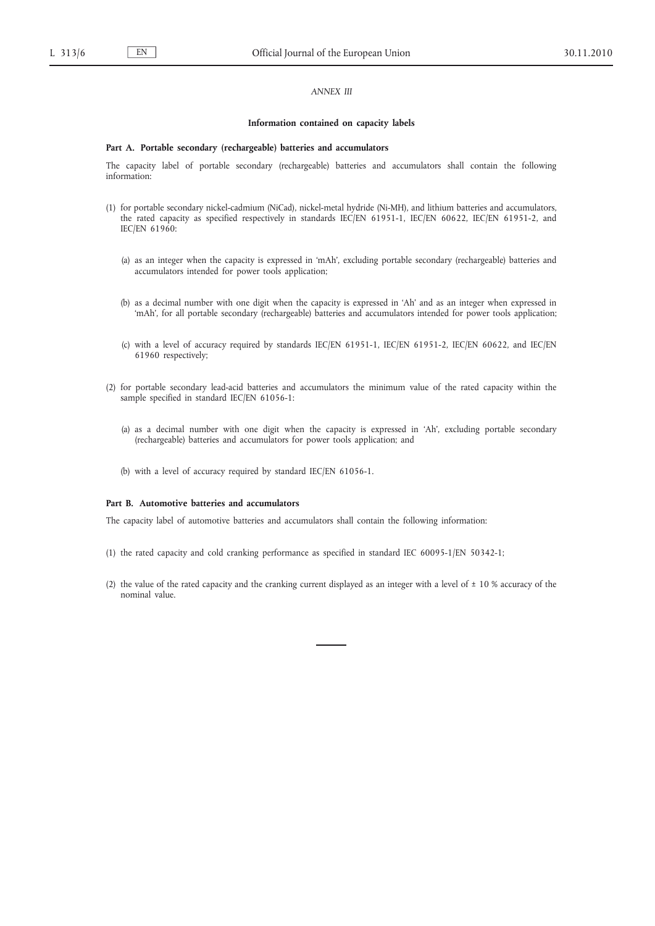# *ANNEX III*

#### **Information contained on capacity labels**

#### **Part A. Portable secondary (rechargeable) batteries and accumulators**

The capacity label of portable secondary (rechargeable) batteries and accumulators shall contain the following information:

- (1) for portable secondary nickel-cadmium (NiCad), nickel-metal hydride (Ni-MH), and lithium batteries and accumulators, the rated capacity as specified respectively in standards IEC/EN 61951-1, IEC/EN 60622, IEC/EN 61951-2, and IEC/EN 61960:
	- (a) as an integer when the capacity is expressed in 'mAh', excluding portable secondary (rechargeable) batteries and accumulators intended for power tools application;
	- (b) as a decimal number with one digit when the capacity is expressed in 'Ah' and as an integer when expressed in 'mAh', for all portable secondary (rechargeable) batteries and accumulators intended for power tools application;
	- (c) with a level of accuracy required by standards IEC/EN 61951-1, IEC/EN 61951-2, IEC/EN 60622, and IEC/EN 61960 respectively;
- (2) for portable secondary lead-acid batteries and accumulators the minimum value of the rated capacity within the sample specified in standard IEC/EN 61056-1:
	- (a) as a decimal number with one digit when the capacity is expressed in 'Ah', excluding portable secondary (rechargeable) batteries and accumulators for power tools application; and
	- (b) with a level of accuracy required by standard IEC/EN 61056-1.

## **Part B. Automotive batteries and accumulators**

The capacity label of automotive batteries and accumulators shall contain the following information:

- (1) the rated capacity and cold cranking performance as specified in standard IEC 60095-1/EN 50342-1;
- (2) the value of the rated capacity and the cranking current displayed as an integer with a level of  $\pm$  10 % accuracy of the nominal value.